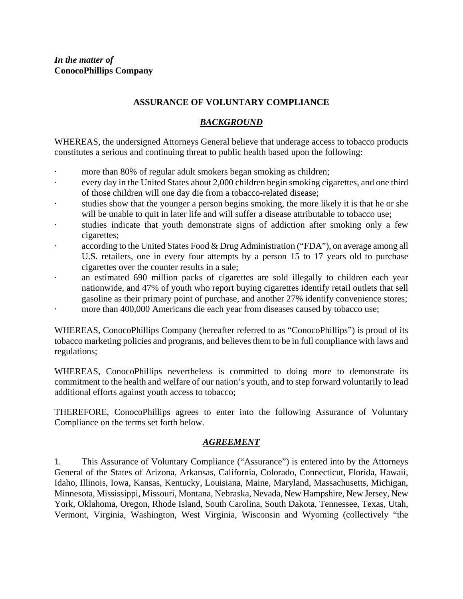## **ASSURANCE OF VOLUNTARY COMPLIANCE**

### *BACKGROUND*

WHEREAS, the undersigned Attorneys General believe that underage access to tobacco products constitutes a serious and continuing threat to public health based upon the following:

- more than 80% of regular adult smokers began smoking as children;
- every day in the United States about 2,000 children begin smoking cigarettes, and one third of those children will one day die from a tobacco-related disease;
- studies show that the younger a person begins smoking, the more likely it is that he or she will be unable to quit in later life and will suffer a disease attributable to tobacco use;
- · studies indicate that youth demonstrate signs of addiction after smoking only a few cigarettes;
- according to the United States Food & Drug Administration ("FDA"), on average among all U.S. retailers, one in every four attempts by a person 15 to 17 years old to purchase cigarettes over the counter results in a sale;
- an estimated 690 million packs of cigarettes are sold illegally to children each year nationwide, and 47% of youth who report buying cigarettes identify retail outlets that sell gasoline as their primary point of purchase, and another 27% identify convenience stores; more than 400,000 Americans die each year from diseases caused by tobacco use;

WHEREAS, ConocoPhillips Company (hereafter referred to as "ConocoPhillips") is proud of its tobacco marketing policies and programs, and believes them to be in full compliance with laws and regulations;

WHEREAS, ConocoPhillips nevertheless is committed to doing more to demonstrate its commitment to the health and welfare of our nation's youth, and to step forward voluntarily to lead additional efforts against youth access to tobacco;

THEREFORE, ConocoPhillips agrees to enter into the following Assurance of Voluntary Compliance on the terms set forth below.

#### *AGREEMENT*

1. This Assurance of Voluntary Compliance ("Assurance") is entered into by the Attorneys General of the States of Arizona, Arkansas, California, Colorado, Connecticut, Florida, Hawaii, Idaho, Illinois, Iowa, Kansas, Kentucky, Louisiana, Maine, Maryland, Massachusetts, Michigan, Minnesota, Mississippi, Missouri, Montana, Nebraska, Nevada, New Hampshire, New Jersey, New York, Oklahoma, Oregon, Rhode Island, South Carolina, South Dakota, Tennessee, Texas, Utah, Vermont, Virginia, Washington, West Virginia, Wisconsin and Wyoming (collectively "the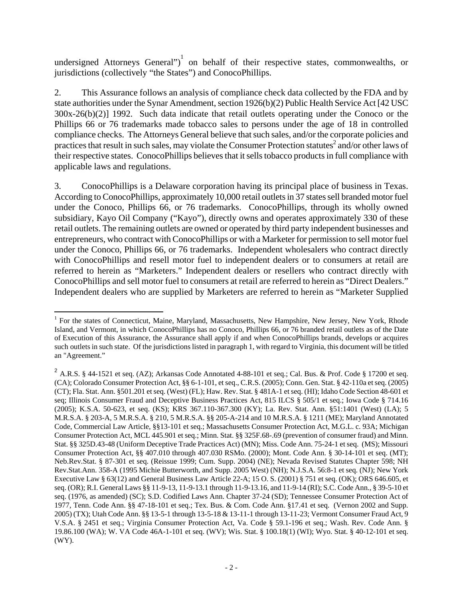undersigned Attorneys General")<sup>1</sup> on behalf of their respective states, commonwealths, or jurisdictions (collectively "the States") and ConocoPhillips.

2. This Assurance follows an analysis of compliance check data collected by the FDA and by state authorities under the Synar Amendment, section 1926(b)(2) Public Health Service Act [42 USC 300x-26(b)(2)] 1992. Such data indicate that retail outlets operating under the Conoco or the Phillips 66 or 76 trademarks made tobacco sales to persons under the age of 18 in controlled compliance checks. The Attorneys General believe that such sales, and/or the corporate policies and practices that result in such sales, may violate the Consumer Protection statutes<sup>2</sup> and/or other laws of their respective states. ConocoPhillips believes that it sells tobacco products in full compliance with applicable laws and regulations.

3. ConocoPhillips is a Delaware corporation having its principal place of business in Texas. According to ConocoPhillips, approximately 10,000 retail outlets in 37 states sell branded motor fuel under the Conoco, Phillips 66, or 76 trademarks. ConocoPhillips, through its wholly owned subsidiary, Kayo Oil Company ("Kayo"), directly owns and operates approximately 330 of these retail outlets. The remaining outlets are owned or operated by third party independent businesses and entrepreneurs, who contract with ConocoPhillips or with a Marketer for permission to sell motor fuel under the Conoco, Phillips 66, or 76 trademarks. Independent wholesalers who contract directly with ConocoPhillips and resell motor fuel to independent dealers or to consumers at retail are referred to herein as "Marketers." Independent dealers or resellers who contract directly with ConocoPhillips and sell motor fuel to consumers at retail are referred to herein as "Direct Dealers." Independent dealers who are supplied by Marketers are referred to herein as "Marketer Supplied

 $\overline{a}$ 

<sup>&</sup>lt;sup>1</sup> For the states of Connecticut, Maine, Maryland, Massachusetts, New Hampshire, New Jersey, New York, Rhode Island, and Vermont, in which ConocoPhillips has no Conoco, Phillips 66, or 76 branded retail outlets as of the Date of Execution of this Assurance, the Assurance shall apply if and when ConocoPhillips brands, develops or acquires such outlets in such state. Of the jurisdictions listed in paragraph 1, with regard to Virginia, this document will be titled an "Agreement."

<sup>&</sup>lt;sup>2</sup> A.R.S. § 44-1521 et seq. (AZ); Arkansas Code Annotated 4-88-101 et seq.; Cal. Bus. & Prof. Code § 17200 et seq. (CA); Colorado Consumer Protection Act, §§ 6-1-101, et seq., C.R.S. (2005); Conn. Gen. Stat. § 42-110a et seq. (2005) (CT); Fla. Stat. Ann. §501.201 et seq. (West) (FL); Haw. Rev. Stat. § 481A-1 et seq. (HI); Idaho Code Section 48-601 et seq; Illinois Consumer Fraud and Deceptive Business Practices Act, 815 ILCS § 505/1 et seq.; Iowa Code § 714.16 (2005); K.S.A. 50-623, et seq. (KS); KRS 367.110-367.300 (KY); La. Rev. Stat. Ann. §51:1401 (West) (LA); 5 M.R.S.A. § 203-A, 5 M.R.S.A. § 210, 5 M.R.S.A. §§ 205-A-214 and 10 M.R.S.A. § 1211 (ME); Maryland Annotated Code, Commercial Law Article, §§13-101 et seq.; Massachusetts Consumer Protection Act, M.G.L. c. 93A; Michigan Consumer Protection Act, MCL 445.901 et seq.; Minn. Stat. §§ 325F.68-.69 (prevention of consumer fraud) and Minn. Stat. §§ 325D.43-48 (Uniform Deceptive Trade Practices Act) (MN); Miss. Code Ann. 75-24-1 et seq. (MS); Missouri Consumer Protection Act, §§ 407.010 through 407.030 RSMo. (2000); Mont. Code Ann. § 30-14-101 et seq. (MT); Neb.Rev.Stat. § 87-301 et seq. (Reissue 1999; Cum. Supp. 2004) (NE); Nevada Revised Statutes Chapter 598; NH Rev.Stat.Ann. 358-A (1995 Michie Butterworth, and Supp. 2005 West) (NH); N.J.S.A. 56:8-1 et seq. (NJ); New York Executive Law § 63(12) and General Business Law Article 22-A; 15 O. S. (2001) § 751 et seq. (OK); ORS 646.605, et seq. (OR); R.I. General Laws §§ 11-9-13, 11-9-13.1 through 11-9-13.16, and 11-9-14 (RI); S.C. Code Ann., § 39-5-10 et seq. (1976, as amended) (SC); S.D. Codified Laws Ann. Chapter 37-24 (SD); Tennessee Consumer Protection Act of 1977, Tenn. Code Ann. §§ 47-18-101 et seq.; Tex. Bus. & Com. Code Ann. §17.41 et seq. (Vernon 2002 and Supp. 2005) (TX); Utah Code Ann. §§ 13-5-1 through 13-5-18 & 13-11-1 through 13-11-23; Vermont Consumer Fraud Act, 9 V.S.A. § 2451 et seq.; Virginia Consumer Protection Act, Va. Code § 59.1-196 et seq.; Wash. Rev. Code Ann. § 19.86.100 (WA); W. VA Code 46A-1-101 et seq. (WV); Wis. Stat. § 100.18(1) (WI); Wyo. Stat. § 40-12-101 et seq. (WY).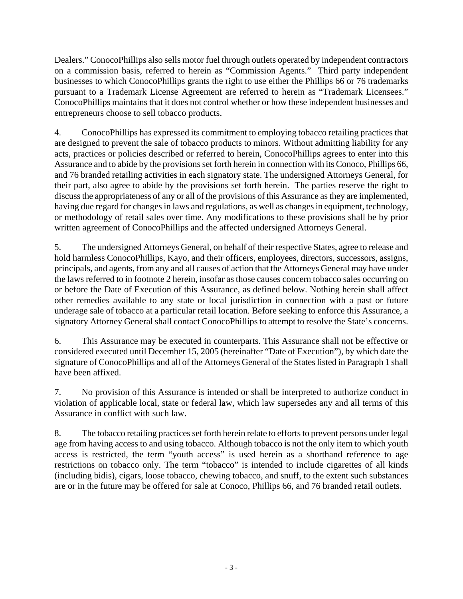Dealers." ConocoPhillips also sells motor fuel through outlets operated by independent contractors on a commission basis, referred to herein as "Commission Agents." Third party independent businesses to which ConocoPhillips grants the right to use either the Phillips 66 or 76 trademarks pursuant to a Trademark License Agreement are referred to herein as "Trademark Licensees." ConocoPhillips maintains that it does not control whether or how these independent businesses and entrepreneurs choose to sell tobacco products.

4. ConocoPhillips has expressed its commitment to employing tobacco retailing practices that are designed to prevent the sale of tobacco products to minors. Without admitting liability for any acts, practices or policies described or referred to herein, ConocoPhillips agrees to enter into this Assurance and to abide by the provisions set forth herein in connection with its Conoco, Phillips 66, and 76 branded retailing activities in each signatory state. The undersigned Attorneys General, for their part, also agree to abide by the provisions set forth herein. The parties reserve the right to discuss the appropriateness of any or all of the provisions of this Assurance as they are implemented, having due regard for changes in laws and regulations, as well as changes in equipment, technology, or methodology of retail sales over time. Any modifications to these provisions shall be by prior written agreement of ConocoPhillips and the affected undersigned Attorneys General.

5. The undersigned Attorneys General, on behalf of their respective States, agree to release and hold harmless ConocoPhillips, Kayo, and their officers, employees, directors, successors, assigns, principals, and agents, from any and all causes of action that the Attorneys General may have under the laws referred to in footnote 2 herein, insofar as those causes concern tobacco sales occurring on or before the Date of Execution of this Assurance, as defined below. Nothing herein shall affect other remedies available to any state or local jurisdiction in connection with a past or future underage sale of tobacco at a particular retail location. Before seeking to enforce this Assurance, a signatory Attorney General shall contact ConocoPhillips to attempt to resolve the State's concerns.

6. This Assurance may be executed in counterparts. This Assurance shall not be effective or considered executed until December 15, 2005 (hereinafter "Date of Execution"), by which date the signature of ConocoPhillips and all of the Attorneys General of the States listed in Paragraph 1 shall have been affixed.

7. No provision of this Assurance is intended or shall be interpreted to authorize conduct in violation of applicable local, state or federal law, which law supersedes any and all terms of this Assurance in conflict with such law.

8. The tobacco retailing practices set forth herein relate to efforts to prevent persons under legal age from having access to and using tobacco. Although tobacco is not the only item to which youth access is restricted, the term "youth access" is used herein as a shorthand reference to age restrictions on tobacco only. The term "tobacco" is intended to include cigarettes of all kinds (including bidis), cigars, loose tobacco, chewing tobacco, and snuff, to the extent such substances are or in the future may be offered for sale at Conoco, Phillips 66, and 76 branded retail outlets.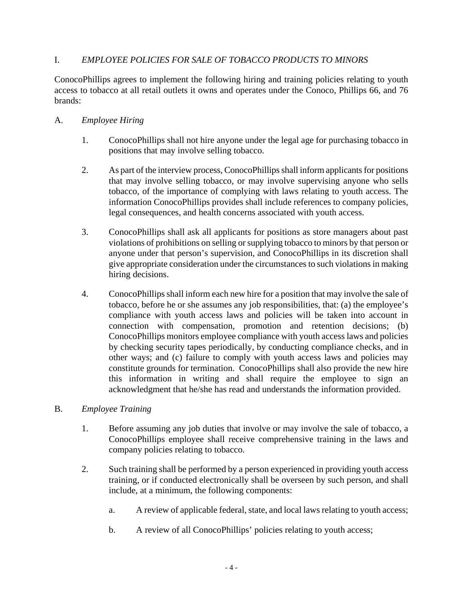## I. *EMPLOYEE POLICIES FOR SALE OF TOBACCO PRODUCTS TO MINORS*

ConocoPhillips agrees to implement the following hiring and training policies relating to youth access to tobacco at all retail outlets it owns and operates under the Conoco, Phillips 66, and 76 brands:

#### A. *Employee Hiring*

- 1. ConocoPhillips shall not hire anyone under the legal age for purchasing tobacco in positions that may involve selling tobacco.
- 2. As part of the interview process, ConocoPhillips shall inform applicants for positions that may involve selling tobacco, or may involve supervising anyone who sells tobacco, of the importance of complying with laws relating to youth access. The information ConocoPhillips provides shall include references to company policies, legal consequences, and health concerns associated with youth access.
- 3. ConocoPhillips shall ask all applicants for positions as store managers about past violations of prohibitions on selling or supplying tobacco to minors by that person or anyone under that person's supervision, and ConocoPhillips in its discretion shall give appropriate consideration under the circumstances to such violations in making hiring decisions.
- 4. ConocoPhillips shall inform each new hire for a position that may involve the sale of tobacco, before he or she assumes any job responsibilities, that: (a) the employee's compliance with youth access laws and policies will be taken into account in connection with compensation, promotion and retention decisions; (b) ConocoPhillips monitors employee compliance with youth access laws and policies by checking security tapes periodically, by conducting compliance checks, and in other ways; and (c) failure to comply with youth access laws and policies may constitute grounds for termination. ConocoPhillips shall also provide the new hire this information in writing and shall require the employee to sign an acknowledgment that he/she has read and understands the information provided.

#### B. *Employee Training*

- 1. Before assuming any job duties that involve or may involve the sale of tobacco, a ConocoPhillips employee shall receive comprehensive training in the laws and company policies relating to tobacco.
- 2. Such training shall be performed by a person experienced in providing youth access training, or if conducted electronically shall be overseen by such person, and shall include, at a minimum, the following components:
	- a. A review of applicable federal, state, and local laws relating to youth access;
	- b. A review of all ConocoPhillips' policies relating to youth access;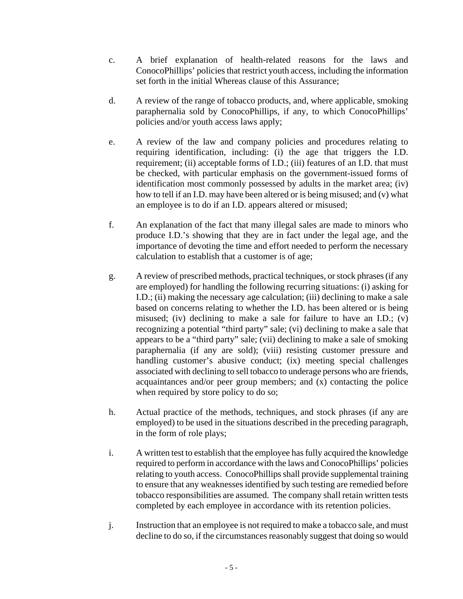- c. A brief explanation of health-related reasons for the laws and ConocoPhillips' policies that restrict youth access, including the information set forth in the initial Whereas clause of this Assurance;
- d. A review of the range of tobacco products, and, where applicable, smoking paraphernalia sold by ConocoPhillips, if any, to which ConocoPhillips' policies and/or youth access laws apply;
- e. A review of the law and company policies and procedures relating to requiring identification, including: (i) the age that triggers the I.D. requirement; (ii) acceptable forms of I.D.; (iii) features of an I.D. that must be checked, with particular emphasis on the government-issued forms of identification most commonly possessed by adults in the market area; (iv) how to tell if an I.D. may have been altered or is being misused; and (v) what an employee is to do if an I.D. appears altered or misused;
- f. An explanation of the fact that many illegal sales are made to minors who produce I.D.'s showing that they are in fact under the legal age, and the importance of devoting the time and effort needed to perform the necessary calculation to establish that a customer is of age;
- g. A review of prescribed methods, practical techniques, or stock phrases (if any are employed) for handling the following recurring situations: (i) asking for I.D.; (ii) making the necessary age calculation; (iii) declining to make a sale based on concerns relating to whether the I.D. has been altered or is being misused; (iv) declining to make a sale for failure to have an I.D.; (v) recognizing a potential "third party" sale; (vi) declining to make a sale that appears to be a "third party" sale; (vii) declining to make a sale of smoking paraphernalia (if any are sold); (viii) resisting customer pressure and handling customer's abusive conduct; (ix) meeting special challenges associated with declining to sell tobacco to underage persons who are friends, acquaintances and/or peer group members; and (x) contacting the police when required by store policy to do so;
- h. Actual practice of the methods, techniques, and stock phrases (if any are employed) to be used in the situations described in the preceding paragraph, in the form of role plays;
- i. A written test to establish that the employee has fully acquired the knowledge required to perform in accordance with the laws and ConocoPhillips' policies relating to youth access. ConocoPhillips shall provide supplemental training to ensure that any weaknesses identified by such testing are remedied before tobacco responsibilities are assumed. The company shall retain written tests completed by each employee in accordance with its retention policies.
- j. Instruction that an employee is not required to make a tobacco sale, and must decline to do so, if the circumstances reasonably suggest that doing so would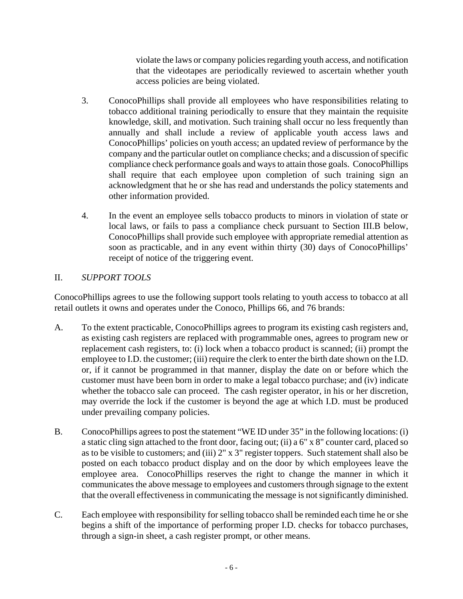violate the laws or company policies regarding youth access, and notification that the videotapes are periodically reviewed to ascertain whether youth access policies are being violated.

- 3. ConocoPhillips shall provide all employees who have responsibilities relating to tobacco additional training periodically to ensure that they maintain the requisite knowledge, skill, and motivation. Such training shall occur no less frequently than annually and shall include a review of applicable youth access laws and ConocoPhillips' policies on youth access; an updated review of performance by the company and the particular outlet on compliance checks; and a discussion of specific compliance check performance goals and ways to attain those goals. ConocoPhillips shall require that each employee upon completion of such training sign an acknowledgment that he or she has read and understands the policy statements and other information provided.
- 4. In the event an employee sells tobacco products to minors in violation of state or local laws, or fails to pass a compliance check pursuant to Section III.B below, ConocoPhillips shall provide such employee with appropriate remedial attention as soon as practicable, and in any event within thirty (30) days of ConocoPhillips' receipt of notice of the triggering event.

# II. *SUPPORT TOOLS*

ConocoPhillips agrees to use the following support tools relating to youth access to tobacco at all retail outlets it owns and operates under the Conoco, Phillips 66, and 76 brands:

- A. To the extent practicable, ConocoPhillips agrees to program its existing cash registers and, as existing cash registers are replaced with programmable ones, agrees to program new or replacement cash registers, to: (i) lock when a tobacco product is scanned; (ii) prompt the employee to I.D. the customer; (iii) require the clerk to enter the birth date shown on the I.D. or, if it cannot be programmed in that manner, display the date on or before which the customer must have been born in order to make a legal tobacco purchase; and (iv) indicate whether the tobacco sale can proceed. The cash register operator, in his or her discretion, may override the lock if the customer is beyond the age at which I.D. must be produced under prevailing company policies.
- B. ConocoPhillips agrees to post the statement "WE ID under 35" in the following locations: (i) a static cling sign attached to the front door, facing out; (ii) a 6" x 8" counter card, placed so as to be visible to customers; and (iii) 2" x 3" register toppers. Such statement shall also be posted on each tobacco product display and on the door by which employees leave the employee area. ConocoPhillips reserves the right to change the manner in which it communicates the above message to employees and customers through signage to the extent that the overall effectiveness in communicating the message is not significantly diminished.
- C. Each employee with responsibility for selling tobacco shall be reminded each time he or she begins a shift of the importance of performing proper I.D. checks for tobacco purchases, through a sign-in sheet, a cash register prompt, or other means.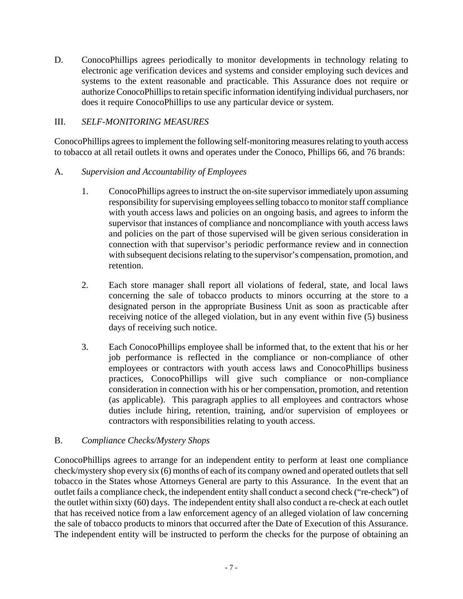D. ConocoPhillips agrees periodically to monitor developments in technology relating to electronic age verification devices and systems and consider employing such devices and systems to the extent reasonable and practicable. This Assurance does not require or authorize ConocoPhillips to retain specific information identifying individual purchasers, nor does it require ConocoPhillips to use any particular device or system.

### III. *SELF-MONITORING MEASURES*

ConocoPhillips agrees to implement the following self-monitoring measures relating to youth access to tobacco at all retail outlets it owns and operates under the Conoco, Phillips 66, and 76 brands:

#### A. *Supervision and Accountability of Employees*

- 1. ConocoPhillips agrees to instruct the on-site supervisor immediately upon assuming responsibility for supervising employees selling tobacco to monitor staff compliance with youth access laws and policies on an ongoing basis, and agrees to inform the supervisor that instances of compliance and noncompliance with youth access laws and policies on the part of those supervised will be given serious consideration in connection with that supervisor's periodic performance review and in connection with subsequent decisions relating to the supervisor's compensation, promotion, and retention.
- 2. Each store manager shall report all violations of federal, state, and local laws concerning the sale of tobacco products to minors occurring at the store to a designated person in the appropriate Business Unit as soon as practicable after receiving notice of the alleged violation, but in any event within five (5) business days of receiving such notice.
- 3. Each ConocoPhillips employee shall be informed that, to the extent that his or her job performance is reflected in the compliance or non-compliance of other employees or contractors with youth access laws and ConocoPhillips business practices, ConocoPhillips will give such compliance or non-compliance consideration in connection with his or her compensation, promotion, and retention (as applicable). This paragraph applies to all employees and contractors whose duties include hiring, retention, training, and/or supervision of employees or contractors with responsibilities relating to youth access.

# B. *Compliance Checks/Mystery Shops*

ConocoPhillips agrees to arrange for an independent entity to perform at least one compliance check/mystery shop every six (6) months of each of its company owned and operated outlets that sell tobacco in the States whose Attorneys General are party to this Assurance. In the event that an outlet fails a compliance check, the independent entity shall conduct a second check ("re-check") of the outlet within sixty (60) days. The independent entity shall also conduct a re-check at each outlet that has received notice from a law enforcement agency of an alleged violation of law concerning the sale of tobacco products to minors that occurred after the Date of Execution of this Assurance. The independent entity will be instructed to perform the checks for the purpose of obtaining an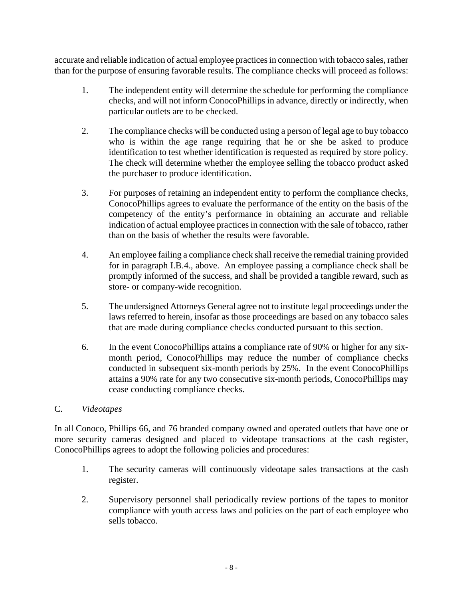accurate and reliable indication of actual employee practices in connection with tobacco sales, rather than for the purpose of ensuring favorable results. The compliance checks will proceed as follows:

- 1. The independent entity will determine the schedule for performing the compliance checks, and will not inform ConocoPhillips in advance, directly or indirectly, when particular outlets are to be checked.
- 2. The compliance checks will be conducted using a person of legal age to buy tobacco who is within the age range requiring that he or she be asked to produce identification to test whether identification is requested as required by store policy. The check will determine whether the employee selling the tobacco product asked the purchaser to produce identification.
- 3. For purposes of retaining an independent entity to perform the compliance checks, ConocoPhillips agrees to evaluate the performance of the entity on the basis of the competency of the entity's performance in obtaining an accurate and reliable indication of actual employee practices in connection with the sale of tobacco, rather than on the basis of whether the results were favorable.
- 4. An employee failing a compliance check shall receive the remedial training provided for in paragraph I.B.4., above. An employee passing a compliance check shall be promptly informed of the success, and shall be provided a tangible reward, such as store- or company-wide recognition.
- 5. The undersigned Attorneys General agree not to institute legal proceedings under the laws referred to herein, insofar as those proceedings are based on any tobacco sales that are made during compliance checks conducted pursuant to this section.
- 6. In the event ConocoPhillips attains a compliance rate of 90% or higher for any sixmonth period, ConocoPhillips may reduce the number of compliance checks conducted in subsequent six-month periods by 25%. In the event ConocoPhillips attains a 90% rate for any two consecutive six-month periods, ConocoPhillips may cease conducting compliance checks.

#### C. *Videotapes*

In all Conoco, Phillips 66, and 76 branded company owned and operated outlets that have one or more security cameras designed and placed to videotape transactions at the cash register, ConocoPhillips agrees to adopt the following policies and procedures:

- 1. The security cameras will continuously videotape sales transactions at the cash register.
- 2. Supervisory personnel shall periodically review portions of the tapes to monitor compliance with youth access laws and policies on the part of each employee who sells tobacco.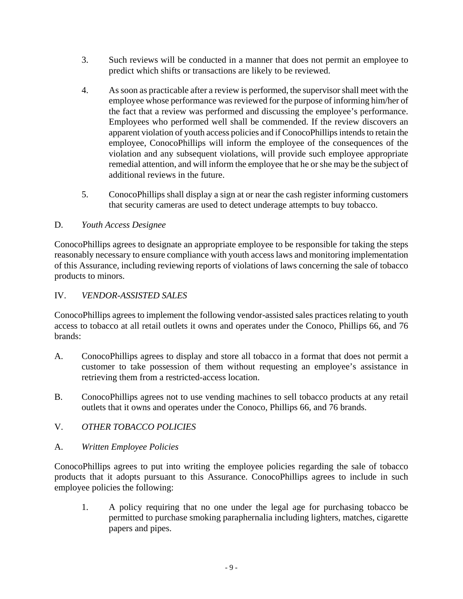- 3. Such reviews will be conducted in a manner that does not permit an employee to predict which shifts or transactions are likely to be reviewed.
- 4. As soon as practicable after a review is performed, the supervisor shall meet with the employee whose performance was reviewed for the purpose of informing him/her of the fact that a review was performed and discussing the employee's performance. Employees who performed well shall be commended. If the review discovers an apparent violation of youth access policies and if ConocoPhillips intends to retain the employee, ConocoPhillips will inform the employee of the consequences of the violation and any subsequent violations, will provide such employee appropriate remedial attention, and will inform the employee that he or she may be the subject of additional reviews in the future.
- 5. ConocoPhillips shall display a sign at or near the cash register informing customers that security cameras are used to detect underage attempts to buy tobacco.

## D. *Youth Access Designee*

ConocoPhillips agrees to designate an appropriate employee to be responsible for taking the steps reasonably necessary to ensure compliance with youth access laws and monitoring implementation of this Assurance, including reviewing reports of violations of laws concerning the sale of tobacco products to minors.

### IV. *VENDOR-ASSISTED SALES*

ConocoPhillips agrees to implement the following vendor-assisted sales practices relating to youth access to tobacco at all retail outlets it owns and operates under the Conoco, Phillips 66, and 76 brands:

- A. ConocoPhillips agrees to display and store all tobacco in a format that does not permit a customer to take possession of them without requesting an employee's assistance in retrieving them from a restricted-access location.
- B. ConocoPhillips agrees not to use vending machines to sell tobacco products at any retail outlets that it owns and operates under the Conoco, Phillips 66, and 76 brands.
- V. *OTHER TOBACCO POLICIES*
- A. *Written Employee Policies*

ConocoPhillips agrees to put into writing the employee policies regarding the sale of tobacco products that it adopts pursuant to this Assurance. ConocoPhillips agrees to include in such employee policies the following:

1. A policy requiring that no one under the legal age for purchasing tobacco be permitted to purchase smoking paraphernalia including lighters, matches, cigarette papers and pipes.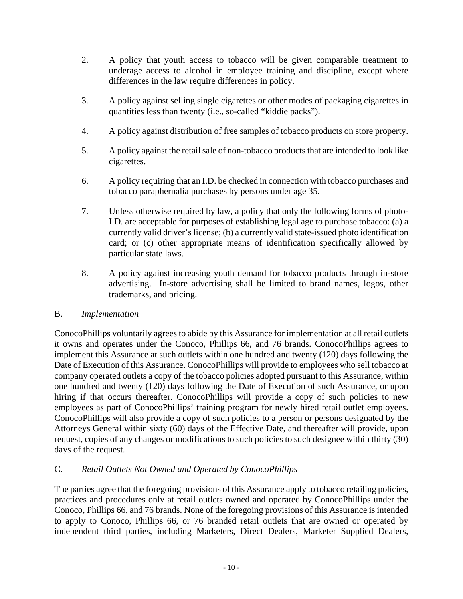- 2. A policy that youth access to tobacco will be given comparable treatment to underage access to alcohol in employee training and discipline, except where differences in the law require differences in policy.
- 3. A policy against selling single cigarettes or other modes of packaging cigarettes in quantities less than twenty (i.e., so-called "kiddie packs").
- 4. A policy against distribution of free samples of tobacco products on store property.
- 5. A policy against the retail sale of non-tobacco products that are intended to look like cigarettes.
- 6. A policy requiring that an I.D. be checked in connection with tobacco purchases and tobacco paraphernalia purchases by persons under age 35.
- 7. Unless otherwise required by law, a policy that only the following forms of photo-I.D. are acceptable for purposes of establishing legal age to purchase tobacco: (a) a currently valid driver's license; (b) a currently valid state-issued photo identification card; or (c) other appropriate means of identification specifically allowed by particular state laws.
- 8. A policy against increasing youth demand for tobacco products through in-store advertising. In-store advertising shall be limited to brand names, logos, other trademarks, and pricing.

#### B. *Implementation*

ConocoPhillips voluntarily agrees to abide by this Assurance for implementation at all retail outlets it owns and operates under the Conoco, Phillips 66, and 76 brands. ConocoPhillips agrees to implement this Assurance at such outlets within one hundred and twenty (120) days following the Date of Execution of this Assurance. ConocoPhillips will provide to employees who sell tobacco at company operated outlets a copy of the tobacco policies adopted pursuant to this Assurance, within one hundred and twenty (120) days following the Date of Execution of such Assurance, or upon hiring if that occurs thereafter. ConocoPhillips will provide a copy of such policies to new employees as part of ConocoPhillips' training program for newly hired retail outlet employees. ConocoPhillips will also provide a copy of such policies to a person or persons designated by the Attorneys General within sixty (60) days of the Effective Date, and thereafter will provide, upon request, copies of any changes or modifications to such policies to such designee within thirty (30) days of the request.

# C. *Retail Outlets Not Owned and Operated by ConocoPhillips*

The parties agree that the foregoing provisions of this Assurance apply to tobacco retailing policies, practices and procedures only at retail outlets owned and operated by ConocoPhillips under the Conoco, Phillips 66, and 76 brands. None of the foregoing provisions of this Assurance is intended to apply to Conoco, Phillips 66, or 76 branded retail outlets that are owned or operated by independent third parties, including Marketers, Direct Dealers, Marketer Supplied Dealers,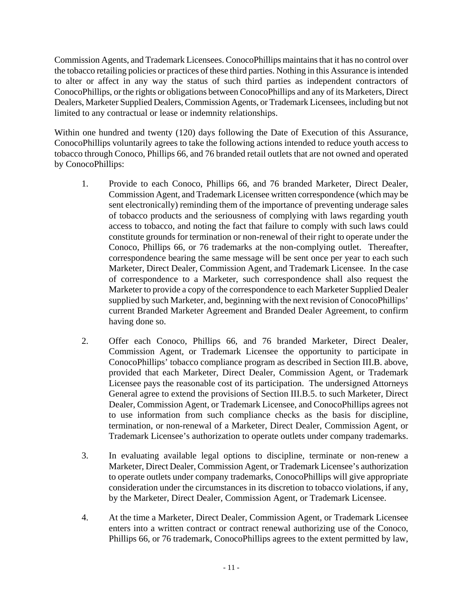Commission Agents, and Trademark Licensees. ConocoPhillips maintains that it has no control over the tobacco retailing policies or practices of these third parties. Nothing in this Assurance is intended to alter or affect in any way the status of such third parties as independent contractors of ConocoPhillips, or the rights or obligations between ConocoPhillips and any of its Marketers, Direct Dealers, Marketer Supplied Dealers, Commission Agents, or Trademark Licensees, including but not limited to any contractual or lease or indemnity relationships.

Within one hundred and twenty (120) days following the Date of Execution of this Assurance, ConocoPhillips voluntarily agrees to take the following actions intended to reduce youth access to tobacco through Conoco, Phillips 66, and 76 branded retail outlets that are not owned and operated by ConocoPhillips:

- 1. Provide to each Conoco, Phillips 66, and 76 branded Marketer, Direct Dealer, Commission Agent, and Trademark Licensee written correspondence (which may be sent electronically) reminding them of the importance of preventing underage sales of tobacco products and the seriousness of complying with laws regarding youth access to tobacco, and noting the fact that failure to comply with such laws could constitute grounds for termination or non-renewal of their right to operate under the Conoco, Phillips 66, or 76 trademarks at the non-complying outlet. Thereafter, correspondence bearing the same message will be sent once per year to each such Marketer, Direct Dealer, Commission Agent, and Trademark Licensee. In the case of correspondence to a Marketer, such correspondence shall also request the Marketer to provide a copy of the correspondence to each Marketer Supplied Dealer supplied by such Marketer, and, beginning with the next revision of ConocoPhillips' current Branded Marketer Agreement and Branded Dealer Agreement, to confirm having done so.
- 2. Offer each Conoco, Phillips 66, and 76 branded Marketer, Direct Dealer, Commission Agent, or Trademark Licensee the opportunity to participate in ConocoPhillips' tobacco compliance program as described in Section III.B. above, provided that each Marketer, Direct Dealer, Commission Agent, or Trademark Licensee pays the reasonable cost of its participation. The undersigned Attorneys General agree to extend the provisions of Section III.B.5. to such Marketer, Direct Dealer, Commission Agent, or Trademark Licensee, and ConocoPhillips agrees not to use information from such compliance checks as the basis for discipline, termination, or non-renewal of a Marketer, Direct Dealer, Commission Agent, or Trademark Licensee's authorization to operate outlets under company trademarks.
- 3. In evaluating available legal options to discipline, terminate or non-renew a Marketer, Direct Dealer, Commission Agent, or Trademark Licensee's authorization to operate outlets under company trademarks, ConocoPhillips will give appropriate consideration under the circumstances in its discretion to tobacco violations, if any, by the Marketer, Direct Dealer, Commission Agent, or Trademark Licensee.
- 4. At the time a Marketer, Direct Dealer, Commission Agent, or Trademark Licensee enters into a written contract or contract renewal authorizing use of the Conoco, Phillips 66, or 76 trademark, ConocoPhillips agrees to the extent permitted by law,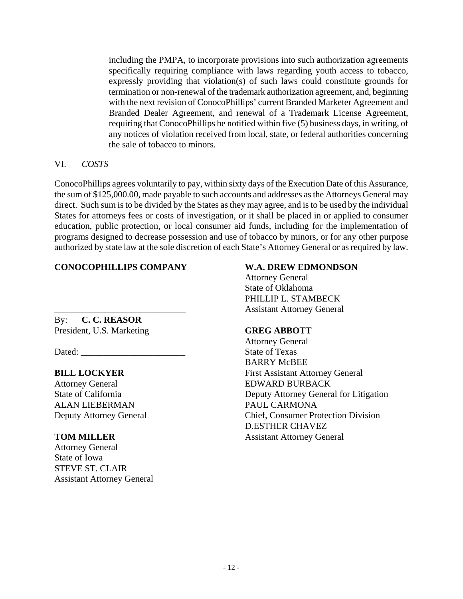including the PMPA, to incorporate provisions into such authorization agreements specifically requiring compliance with laws regarding youth access to tobacco, expressly providing that violation(s) of such laws could constitute grounds for termination or non-renewal of the trademark authorization agreement, and, beginning with the next revision of ConocoPhillips' current Branded Marketer Agreement and Branded Dealer Agreement, and renewal of a Trademark License Agreement, requiring that ConocoPhillips be notified within five (5) business days, in writing, of any notices of violation received from local, state, or federal authorities concerning the sale of tobacco to minors.

#### VI. *COSTS*

ConocoPhillips agrees voluntarily to pay, within sixty days of the Execution Date of this Assurance, the sum of \$125,000.00, made payable to such accounts and addresses as the Attorneys General may direct. Such sum is to be divided by the States as they may agree, and is to be used by the individual States for attorneys fees or costs of investigation, or it shall be placed in or applied to consumer education, public protection, or local consumer aid funds, including for the implementation of programs designed to decrease possession and use of tobacco by minors, or for any other purpose authorized by state law at the sole discretion of each State's Attorney General or as required by law.

# **CONOCOPHILLIPS COMPANY W.A. DREW EDMONDSON**

By: **C. C. REASOR** President, U.S. Marketing **GREG ABBOTT**

Attorney General EDWARD BURBACK ALAN LIEBERMAN PAUL CARMONA

Attorney General State of Iowa STEVE ST. CLAIR Assistant Attorney General

 Attorney General State of Oklahoma PHILLIP L. STAMBECK \_\_\_\_\_\_\_\_\_\_\_\_\_\_\_\_\_\_\_\_\_\_\_\_\_\_\_\_\_ Assistant Attorney General

 Attorney General Dated: State of Texas BARRY McBEE **BILL LOCKYER** First Assistant Attorney General State of California Deputy Attorney General for Litigation Deputy Attorney General Chief, Consumer Protection Division D.ESTHER CHAVEZ **TOM MILLER** Assistant Attorney General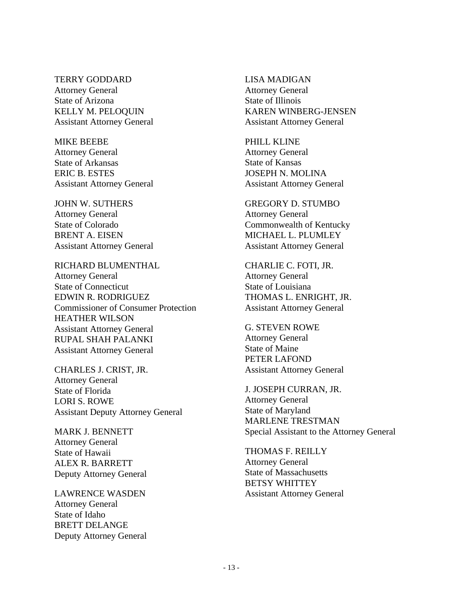TERRY GODDARD Attorney General State of Arizona KELLY M. PELOQUIN Assistant Attorney General

MIKE BEEBE Attorney General State of Arkansas ERIC B. ESTES Assistant Attorney General

JOHN W. SUTHERS Attorney General State of Colorado BRENT A. EISEN Assistant Attorney General

RICHARD BLUMENTHAL Attorney General State of Connecticut EDWIN R. RODRIGUEZ Commissioner of Consumer Protection HEATHER WILSON Assistant Attorney General RUPAL SHAH PALANKI Assistant Attorney General

CHARLES J. CRIST, JR. Attorney General State of Florida LORI S. ROWE Assistant Deputy Attorney General

MARK J. BENNETT Attorney General State of Hawaii ALEX R. BARRETT Deputy Attorney General

LAWRENCE WASDEN Attorney General State of Idaho BRETT DELANGE Deputy Attorney General LISA MADIGAN Attorney General State of Illinois KAREN WINBERG-JENSEN Assistant Attorney General

PHILL KLINE Attorney General State of Kansas JOSEPH N. MOLINA Assistant Attorney General

GREGORY D. STUMBO Attorney General Commonwealth of Kentucky MICHAEL L. PLUMLEY Assistant Attorney General

CHARLIE C. FOTI, JR. Attorney General State of Louisiana THOMAS L. ENRIGHT, JR. Assistant Attorney General

G. STEVEN ROWE Attorney General State of Maine PETER LAFOND Assistant Attorney General

J. JOSEPH CURRAN, JR. Attorney General State of Maryland MARLENE TRESTMAN Special Assistant to the Attorney General

THOMAS F. REILLY Attorney General State of Massachusetts BETSY WHITTEY Assistant Attorney General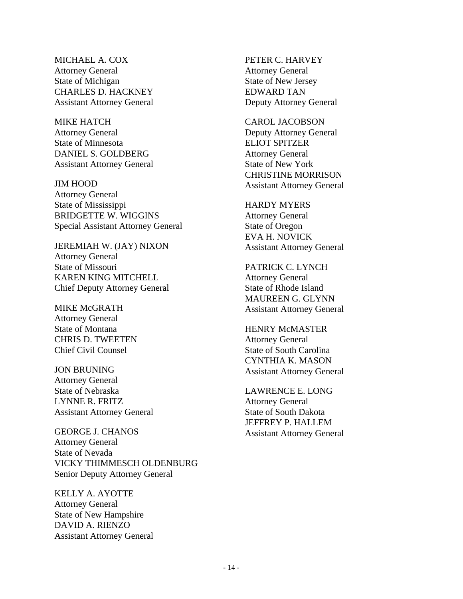MICHAEL A. COX Attorney General State of Michigan CHARLES D. HACKNEY Assistant Attorney General

MIKE HATCH Attorney General State of Minnesota DANIEL S. GOLDBERG Assistant Attorney General

JIM HOOD Attorney General State of Mississippi BRIDGETTE W. WIGGINS Special Assistant Attorney General

JEREMIAH W. (JAY) NIXON Attorney General State of Missouri KAREN KING MITCHELL Chief Deputy Attorney General

MIKE McGRATH Attorney General State of Montana CHRIS D. TWEETEN Chief Civil Counsel

JON BRUNING Attorney General State of Nebraska LYNNE R. FRITZ Assistant Attorney General

GEORGE J. CHANOS Attorney General State of Nevada VICKY THIMMESCH OLDENBURG Senior Deputy Attorney General

KELLY A. AYOTTE Attorney General State of New Hampshire DAVID A. RIENZO Assistant Attorney General

PETER C. HARVEY Attorney General State of New Jersey EDWARD TAN Deputy Attorney General

CAROL JACOBSON Deputy Attorney General ELIOT SPITZER Attorney General State of New York CHRISTINE MORRISON Assistant Attorney General

HARDY MYERS Attorney General State of Oregon EVA H. NOVICK Assistant Attorney General

PATRICK C. LYNCH Attorney General State of Rhode Island MAUREEN G. GLYNN Assistant Attorney General

HENRY McMASTER Attorney General State of South Carolina CYNTHIA K. MASON Assistant Attorney General

LAWRENCE E. LONG Attorney General State of South Dakota JEFFREY P. HALLEM Assistant Attorney General